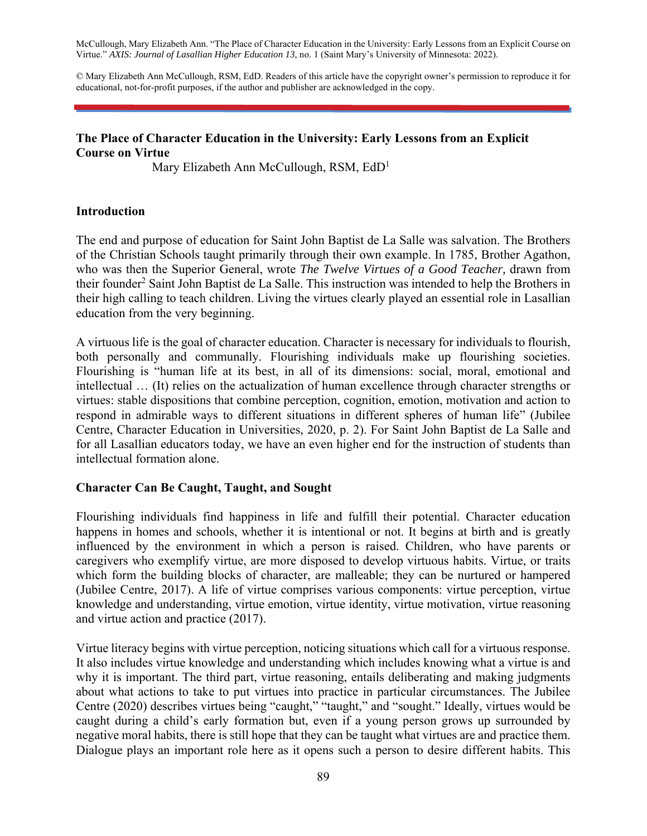McCullough, Mary Elizabeth Ann. "The Place of Character Education in the University: Early Lessons from an Explicit Course on Virtue." *AXIS: Journal of Lasallian Higher Education 13*, no. 1 (Saint Mary's University of Minnesota: 2022).

© Mary Elizabeth Ann McCullough, RSM, EdD. Readers of this article have the copyright owner's permission to reproduce it for educational, not-for-profit purposes, if the author and publisher are acknowledged in the copy.

### **The Place of Character Education in the University: Early Lessons from an Explicit Course on Virtue**

Mary Elizabeth Ann McCullough, RSM, EdD1

### **Introduction**

The end and purpose of education for Saint John Baptist de La Salle was salvation. The Brothers of the Christian Schools taught primarily through their own example. In 1785, Brother Agathon, who was then the Superior General, wrote *The Twelve Virtues of a Good Teacher,* drawn from their founder<sup>2</sup> Saint John Baptist de La Salle. This instruction was intended to help the Brothers in their high calling to teach children. Living the virtues clearly played an essential role in Lasallian education from the very beginning.

A virtuous life is the goal of character education. Character is necessary for individuals to flourish, both personally and communally. Flourishing individuals make up flourishing societies. Flourishing is "human life at its best, in all of its dimensions: social, moral, emotional and intellectual … (It) relies on the actualization of human excellence through character strengths or virtues: stable dispositions that combine perception, cognition, emotion, motivation and action to respond in admirable ways to different situations in different spheres of human life" (Jubilee Centre, Character Education in Universities, 2020, p. 2). For Saint John Baptist de La Salle and for all Lasallian educators today, we have an even higher end for the instruction of students than intellectual formation alone.

### **Character Can Be Caught, Taught, and Sought**

Flourishing individuals find happiness in life and fulfill their potential. Character education happens in homes and schools, whether it is intentional or not. It begins at birth and is greatly influenced by the environment in which a person is raised. Children, who have parents or caregivers who exemplify virtue, are more disposed to develop virtuous habits. Virtue, or traits which form the building blocks of character, are malleable; they can be nurtured or hampered (Jubilee Centre, 2017). A life of virtue comprises various components: virtue perception, virtue knowledge and understanding, virtue emotion, virtue identity, virtue motivation, virtue reasoning and virtue action and practice (2017).

Virtue literacy begins with virtue perception, noticing situations which call for a virtuous response. It also includes virtue knowledge and understanding which includes knowing what a virtue is and why it is important. The third part, virtue reasoning, entails deliberating and making judgments about what actions to take to put virtues into practice in particular circumstances. The Jubilee Centre (2020) describes virtues being "caught," "taught," and "sought." Ideally, virtues would be caught during a child's early formation but, even if a young person grows up surrounded by negative moral habits, there is still hope that they can be taught what virtues are and practice them. Dialogue plays an important role here as it opens such a person to desire different habits. This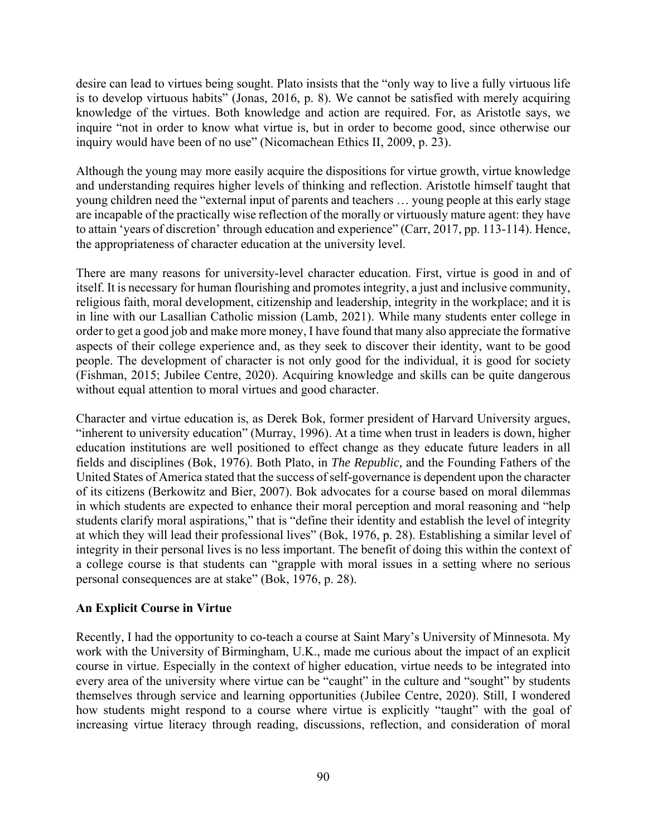desire can lead to virtues being sought. Plato insists that the "only way to live a fully virtuous life is to develop virtuous habits" (Jonas, 2016, p. 8). We cannot be satisfied with merely acquiring knowledge of the virtues. Both knowledge and action are required. For, as Aristotle says, we inquire "not in order to know what virtue is, but in order to become good, since otherwise our inquiry would have been of no use" (Nicomachean Ethics II, 2009, p. 23).

Although the young may more easily acquire the dispositions for virtue growth, virtue knowledge and understanding requires higher levels of thinking and reflection. Aristotle himself taught that young children need the "external input of parents and teachers … young people at this early stage are incapable of the practically wise reflection of the morally or virtuously mature agent: they have to attain 'years of discretion' through education and experience" (Carr, 2017, pp. 113-114). Hence, the appropriateness of character education at the university level.

There are many reasons for university-level character education. First, virtue is good in and of itself. It is necessary for human flourishing and promotes integrity, a just and inclusive community, religious faith, moral development, citizenship and leadership, integrity in the workplace; and it is in line with our Lasallian Catholic mission (Lamb, 2021). While many students enter college in order to get a good job and make more money, I have found that many also appreciate the formative aspects of their college experience and, as they seek to discover their identity, want to be good people. The development of character is not only good for the individual, it is good for society (Fishman, 2015; Jubilee Centre, 2020). Acquiring knowledge and skills can be quite dangerous without equal attention to moral virtues and good character.

Character and virtue education is, as Derek Bok, former president of Harvard University argues, "inherent to university education" (Murray, 1996). At a time when trust in leaders is down, higher education institutions are well positioned to effect change as they educate future leaders in all fields and disciplines (Bok, 1976). Both Plato, in *The Republic,* and the Founding Fathers of the United States of America stated that the success of self-governance is dependent upon the character of its citizens (Berkowitz and Bier, 2007). Bok advocates for a course based on moral dilemmas in which students are expected to enhance their moral perception and moral reasoning and "help students clarify moral aspirations," that is "define their identity and establish the level of integrity at which they will lead their professional lives" (Bok, 1976, p. 28). Establishing a similar level of integrity in their personal lives is no less important. The benefit of doing this within the context of a college course is that students can "grapple with moral issues in a setting where no serious personal consequences are at stake" (Bok, 1976, p. 28).

### **An Explicit Course in Virtue**

Recently, I had the opportunity to co-teach a course at Saint Mary's University of Minnesota. My work with the University of Birmingham, U.K., made me curious about the impact of an explicit course in virtue. Especially in the context of higher education, virtue needs to be integrated into every area of the university where virtue can be "caught" in the culture and "sought" by students themselves through service and learning opportunities (Jubilee Centre, 2020). Still, I wondered how students might respond to a course where virtue is explicitly "taught" with the goal of increasing virtue literacy through reading, discussions, reflection, and consideration of moral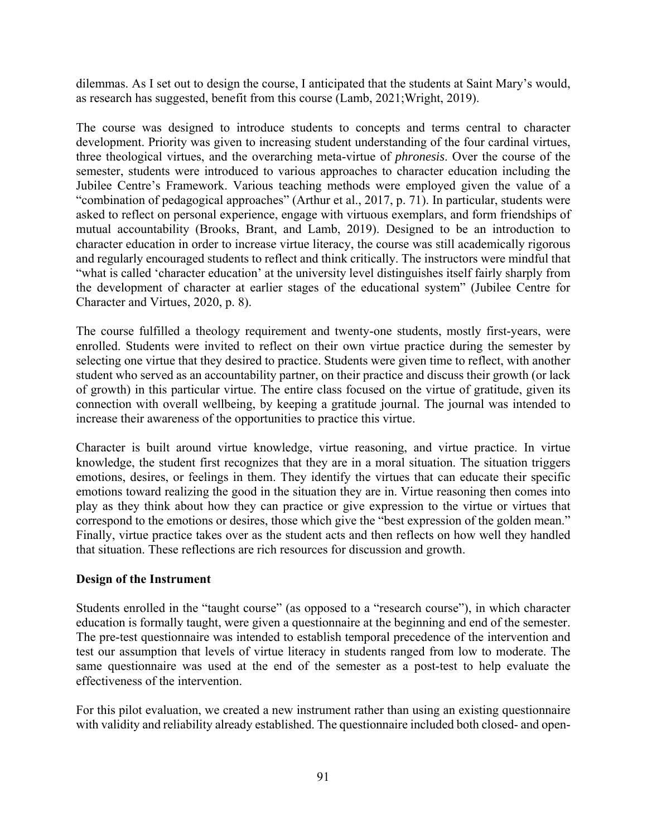dilemmas. As I set out to design the course, I anticipated that the students at Saint Mary's would, as research has suggested, benefit from this course (Lamb, 2021;Wright, 2019).

The course was designed to introduce students to concepts and terms central to character development. Priority was given to increasing student understanding of the four cardinal virtues, three theological virtues, and the overarching meta-virtue of *phronesis*. Over the course of the semester, students were introduced to various approaches to character education including the Jubilee Centre's Framework. Various teaching methods were employed given the value of a "combination of pedagogical approaches" (Arthur et al., 2017, p. 71). In particular, students were asked to reflect on personal experience, engage with virtuous exemplars, and form friendships of mutual accountability (Brooks, Brant, and Lamb, 2019). Designed to be an introduction to character education in order to increase virtue literacy, the course was still academically rigorous and regularly encouraged students to reflect and think critically. The instructors were mindful that "what is called 'character education' at the university level distinguishes itself fairly sharply from the development of character at earlier stages of the educational system" (Jubilee Centre for Character and Virtues, 2020, p. 8).

The course fulfilled a theology requirement and twenty-one students, mostly first-years, were enrolled. Students were invited to reflect on their own virtue practice during the semester by selecting one virtue that they desired to practice. Students were given time to reflect, with another student who served as an accountability partner, on their practice and discuss their growth (or lack of growth) in this particular virtue. The entire class focused on the virtue of gratitude, given its connection with overall wellbeing, by keeping a gratitude journal. The journal was intended to increase their awareness of the opportunities to practice this virtue.

Character is built around virtue knowledge, virtue reasoning, and virtue practice. In virtue knowledge, the student first recognizes that they are in a moral situation. The situation triggers emotions, desires, or feelings in them. They identify the virtues that can educate their specific emotions toward realizing the good in the situation they are in. Virtue reasoning then comes into play as they think about how they can practice or give expression to the virtue or virtues that correspond to the emotions or desires, those which give the "best expression of the golden mean." Finally, virtue practice takes over as the student acts and then reflects on how well they handled that situation. These reflections are rich resources for discussion and growth.

### **Design of the Instrument**

Students enrolled in the "taught course" (as opposed to a "research course"), in which character education is formally taught, were given a questionnaire at the beginning and end of the semester. The pre-test questionnaire was intended to establish temporal precedence of the intervention and test our assumption that levels of virtue literacy in students ranged from low to moderate. The same questionnaire was used at the end of the semester as a post-test to help evaluate the effectiveness of the intervention.

For this pilot evaluation, we created a new instrument rather than using an existing questionnaire with validity and reliability already established. The questionnaire included both closed- and open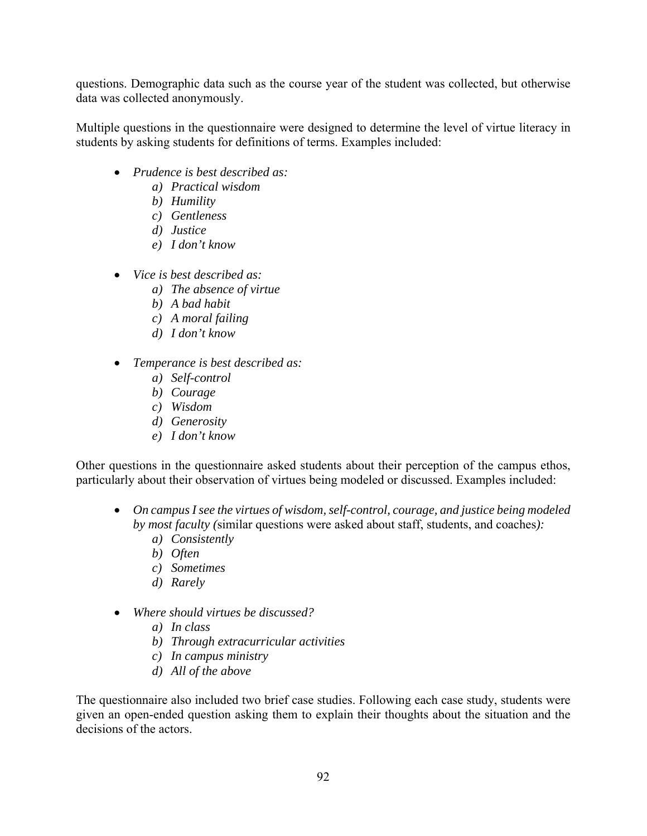questions. Demographic data such as the course year of the student was collected, but otherwise data was collected anonymously.

Multiple questions in the questionnaire were designed to determine the level of virtue literacy in students by asking students for definitions of terms. Examples included:

- *Prudence is best described as:*
	- *a) Practical wisdom*
	- *b) Humility*
	- *c) Gentleness*
	- *d) Justice*
	- *e) I don't know*
- *Vice is best described as:* 
	- *a) The absence of virtue*
	- *b) A bad habit*
	- *c) A moral failing*
	- *d) I don't know*
- *Temperance is best described as:* 
	- *a) Self-control*
	- *b) Courage*
	- *c) Wisdom*
	- *d) Generosity*
	- *e) I don't know*

Other questions in the questionnaire asked students about their perception of the campus ethos, particularly about their observation of virtues being modeled or discussed. Examples included:

- *On campus I see the virtues of wisdom, self-control, courage, and justice being modeled by most faculty (*similar questions were asked about staff, students, and coaches*):* 
	- *a) Consistently*
	- *b) Often*
	- *c) Sometimes*
	- *d) Rarely*
- *Where should virtues be discussed?* 
	- *a) In class*
	- *b) Through extracurricular activities*
	- *c) In campus ministry*
	- *d) All of the above*

The questionnaire also included two brief case studies. Following each case study, students were given an open-ended question asking them to explain their thoughts about the situation and the decisions of the actors.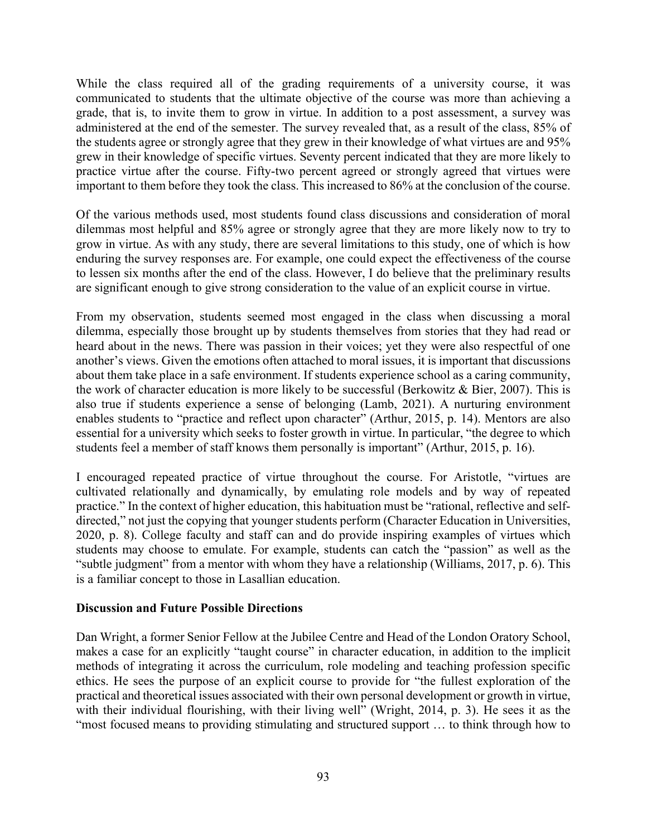While the class required all of the grading requirements of a university course, it was communicated to students that the ultimate objective of the course was more than achieving a grade, that is, to invite them to grow in virtue. In addition to a post assessment, a survey was administered at the end of the semester. The survey revealed that, as a result of the class, 85% of the students agree or strongly agree that they grew in their knowledge of what virtues are and 95% grew in their knowledge of specific virtues. Seventy percent indicated that they are more likely to practice virtue after the course. Fifty-two percent agreed or strongly agreed that virtues were important to them before they took the class. This increased to 86% at the conclusion of the course.

Of the various methods used, most students found class discussions and consideration of moral dilemmas most helpful and 85% agree or strongly agree that they are more likely now to try to grow in virtue. As with any study, there are several limitations to this study, one of which is how enduring the survey responses are. For example, one could expect the effectiveness of the course to lessen six months after the end of the class. However, I do believe that the preliminary results are significant enough to give strong consideration to the value of an explicit course in virtue.

From my observation, students seemed most engaged in the class when discussing a moral dilemma, especially those brought up by students themselves from stories that they had read or heard about in the news. There was passion in their voices; yet they were also respectful of one another's views. Given the emotions often attached to moral issues, it is important that discussions about them take place in a safe environment. If students experience school as a caring community, the work of character education is more likely to be successful (Berkowitz & Bier, 2007). This is also true if students experience a sense of belonging (Lamb, 2021). A nurturing environment enables students to "practice and reflect upon character" (Arthur, 2015, p. 14). Mentors are also essential for a university which seeks to foster growth in virtue. In particular, "the degree to which students feel a member of staff knows them personally is important" (Arthur, 2015, p. 16).

I encouraged repeated practice of virtue throughout the course. For Aristotle, "virtues are cultivated relationally and dynamically, by emulating role models and by way of repeated practice." In the context of higher education, this habituation must be "rational, reflective and selfdirected," not just the copying that younger students perform (Character Education in Universities, 2020, p. 8). College faculty and staff can and do provide inspiring examples of virtues which students may choose to emulate. For example, students can catch the "passion" as well as the "subtle judgment" from a mentor with whom they have a relationship (Williams, 2017, p. 6). This is a familiar concept to those in Lasallian education.

### **Discussion and Future Possible Directions**

Dan Wright, a former Senior Fellow at the Jubilee Centre and Head of the London Oratory School, makes a case for an explicitly "taught course" in character education, in addition to the implicit methods of integrating it across the curriculum, role modeling and teaching profession specific ethics. He sees the purpose of an explicit course to provide for "the fullest exploration of the practical and theoretical issues associated with their own personal development or growth in virtue, with their individual flourishing, with their living well" (Wright, 2014, p. 3). He sees it as the "most focused means to providing stimulating and structured support … to think through how to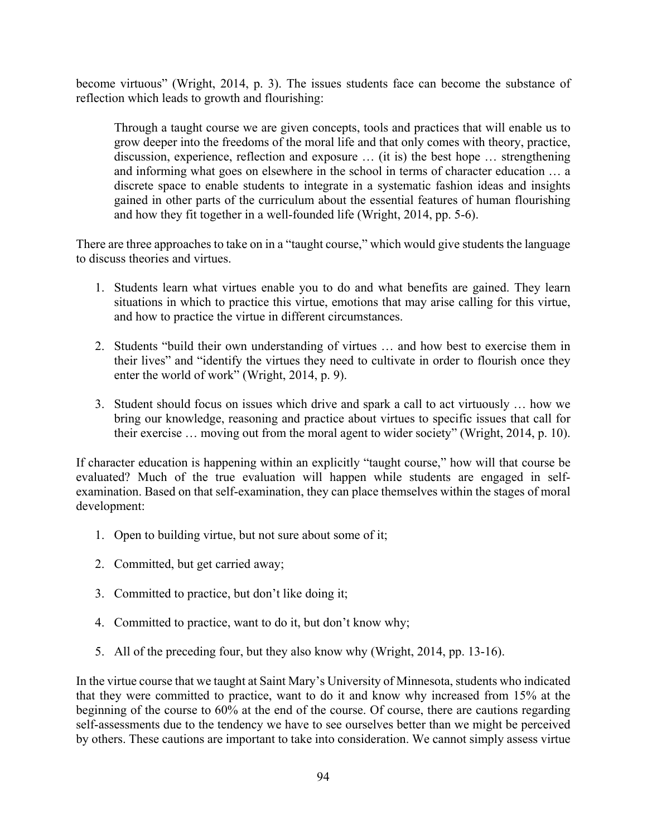become virtuous" (Wright, 2014, p. 3). The issues students face can become the substance of reflection which leads to growth and flourishing:

Through a taught course we are given concepts, tools and practices that will enable us to grow deeper into the freedoms of the moral life and that only comes with theory, practice, discussion, experience, reflection and exposure … (it is) the best hope … strengthening and informing what goes on elsewhere in the school in terms of character education … a discrete space to enable students to integrate in a systematic fashion ideas and insights gained in other parts of the curriculum about the essential features of human flourishing and how they fit together in a well-founded life (Wright, 2014, pp. 5-6).

There are three approaches to take on in a "taught course," which would give students the language to discuss theories and virtues.

- 1. Students learn what virtues enable you to do and what benefits are gained. They learn situations in which to practice this virtue, emotions that may arise calling for this virtue, and how to practice the virtue in different circumstances.
- 2. Students "build their own understanding of virtues … and how best to exercise them in their lives" and "identify the virtues they need to cultivate in order to flourish once they enter the world of work" (Wright, 2014, p. 9).
- 3. Student should focus on issues which drive and spark a call to act virtuously … how we bring our knowledge, reasoning and practice about virtues to specific issues that call for their exercise … moving out from the moral agent to wider society" (Wright, 2014, p. 10).

If character education is happening within an explicitly "taught course," how will that course be evaluated? Much of the true evaluation will happen while students are engaged in selfexamination. Based on that self-examination, they can place themselves within the stages of moral development:

- 1. Open to building virtue, but not sure about some of it;
- 2. Committed, but get carried away;
- 3. Committed to practice, but don't like doing it;
- 4. Committed to practice, want to do it, but don't know why;
- 5. All of the preceding four, but they also know why (Wright, 2014, pp. 13-16).

In the virtue course that we taught at Saint Mary's University of Minnesota, students who indicated that they were committed to practice, want to do it and know why increased from 15% at the beginning of the course to 60% at the end of the course. Of course, there are cautions regarding self-assessments due to the tendency we have to see ourselves better than we might be perceived by others. These cautions are important to take into consideration. We cannot simply assess virtue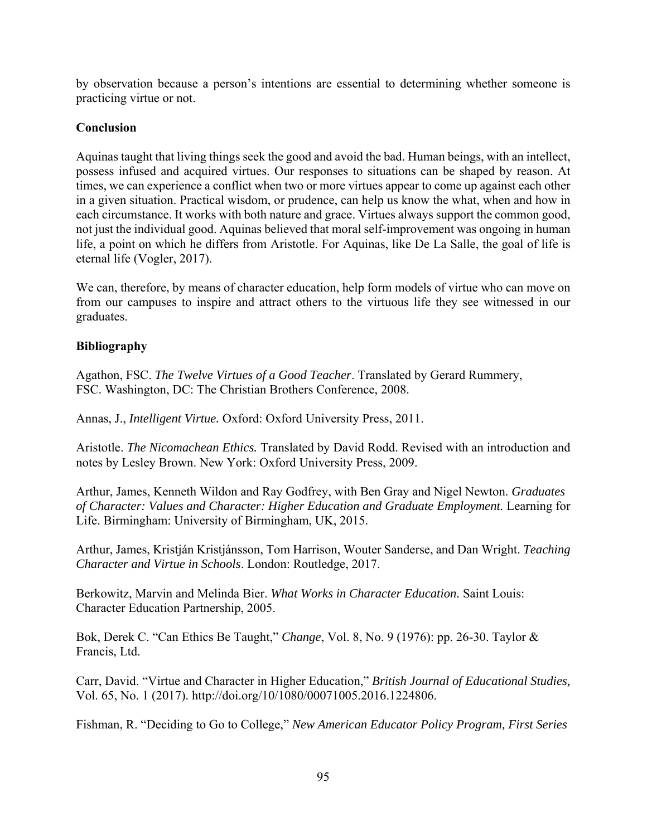by observation because a person's intentions are essential to determining whether someone is practicing virtue or not.

# **Conclusion**

Aquinas taught that living things seek the good and avoid the bad. Human beings, with an intellect, possess infused and acquired virtues. Our responses to situations can be shaped by reason. At times, we can experience a conflict when two or more virtues appear to come up against each other in a given situation. Practical wisdom, or prudence, can help us know the what, when and how in each circumstance. It works with both nature and grace. Virtues always support the common good, not just the individual good. Aquinas believed that moral self-improvement was ongoing in human life, a point on which he differs from Aristotle. For Aquinas, like De La Salle, the goal of life is eternal life (Vogler, 2017).

We can, therefore, by means of character education, help form models of virtue who can move on from our campuses to inspire and attract others to the virtuous life they see witnessed in our graduates.

### **Bibliography**

Agathon, FSC. *The Twelve Virtues of a Good Teacher*. Translated by Gerard Rummery, FSC. Washington, DC: The Christian Brothers Conference, 2008.

Annas, J., *Intelligent Virtue.* Oxford: Oxford University Press, 2011.

Aristotle. *The Nicomachean Ethics.* Translated by David Rodd. Revised with an introduction and notes by Lesley Brown. New York: Oxford University Press, 2009.

Arthur, James, Kenneth Wildon and Ray Godfrey, with Ben Gray and Nigel Newton. *Graduates of Character: Values and Character: Higher Education and Graduate Employment.* Learning for Life. Birmingham: University of Birmingham, UK, 2015.

Arthur, James, Kristján Kristjánsson, Tom Harrison, Wouter Sanderse, and Dan Wright. *Teaching Character and Virtue in Schools*. London: Routledge, 2017.

Berkowitz, Marvin and Melinda Bier. *What Works in Character Education.* Saint Louis: Character Education Partnership, 2005.

Bok, Derek C. "Can Ethics Be Taught," *Change*, Vol. 8, No. 9 (1976): pp. 26-30. Taylor & Francis, Ltd.

Carr, David. "Virtue and Character in Higher Education," *British Journal of Educational Studies,*  Vol. 65, No. 1 (2017). http://doi.org/10/1080/00071005.2016.1224806.

Fishman, R. "Deciding to Go to College," *New American Educator Policy Program, First Series*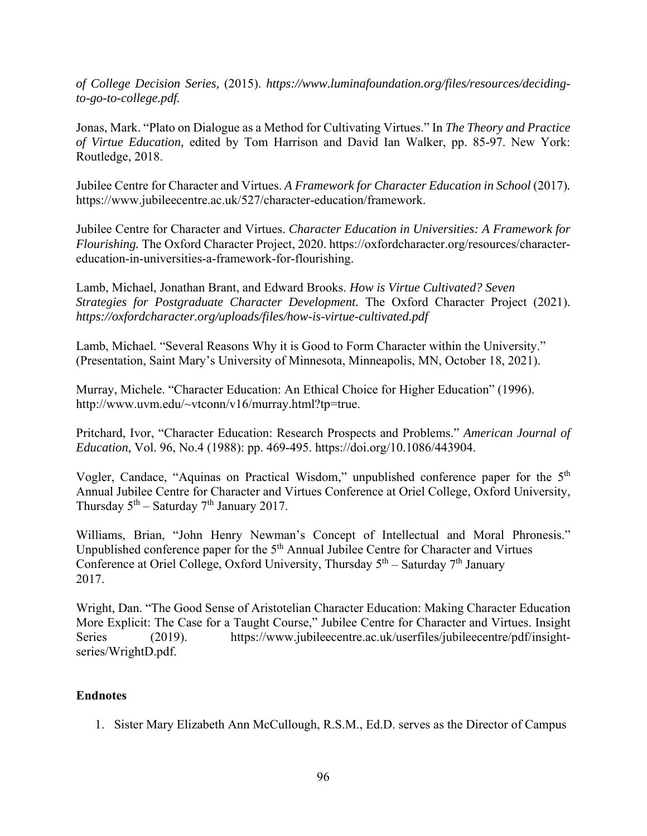*of College Decision Series,* (2015). *https://www.luminafoundation.org/files/resources/decidingto-go-to-college.pdf.* 

Jonas, Mark. "Plato on Dialogue as a Method for Cultivating Virtues." In *The Theory and Practice of Virtue Education,* edited by Tom Harrison and David Ian Walker, pp. 85-97. New York: Routledge, 2018.

Jubilee Centre for Character and Virtues. *A Framework for Character Education in School* (2017)*.*  https://www.jubileecentre.ac.uk/527/character-education/framework.

Jubilee Centre for Character and Virtues. *Character Education in Universities: A Framework for Flourishing.* The Oxford Character Project, 2020. https://oxfordcharacter.org/resources/charactereducation-in-universities-a-framework-for-flourishing.

Lamb, Michael, Jonathan Brant, and Edward Brooks. *How is Virtue Cultivated? Seven Strategies for Postgraduate Character Development.* The Oxford Character Project (2021). *https://oxfordcharacter.org/uploads/files/how-is-virtue-cultivated.pdf* 

Lamb, Michael. "Several Reasons Why it is Good to Form Character within the University." (Presentation, Saint Mary's University of Minnesota, Minneapolis, MN, October 18, 2021).

Murray, Michele. "Character Education: An Ethical Choice for Higher Education" (1996). http://www.uvm.edu/~vtconn/v16/murray.html?tp=true.

Pritchard, Ivor, "Character Education: Research Prospects and Problems." *American Journal of Education,* Vol. 96, No.4 (1988): pp. 469-495. https://doi.org/10.1086/443904.

Vogler, Candace, "Aquinas on Practical Wisdom," unpublished conference paper for the 5th Annual Jubilee Centre for Character and Virtues Conference at Oriel College, Oxford University, Thursday  $5<sup>th</sup>$  – Saturday  $7<sup>th</sup>$  January 2017.

Williams, Brian, "John Henry Newman's Concept of Intellectual and Moral Phronesis." Unpublished conference paper for the  $5<sup>th</sup>$  Annual Jubilee Centre for Character and Virtues Conference at Oriel College, Oxford University, Thursday  $5<sup>th</sup>$  – Saturday  $7<sup>th</sup>$  January 2017.

Wright, Dan. "The Good Sense of Aristotelian Character Education: Making Character Education More Explicit: The Case for a Taught Course," Jubilee Centre for Character and Virtues. Insight Series (2019). https://www.jubileecentre.ac.uk/userfiles/jubileecentre/pdf/insightseries/WrightD.pdf.

# **Endnotes**

1. Sister Mary Elizabeth Ann McCullough, R.S.M., Ed.D. serves as the Director of Campus